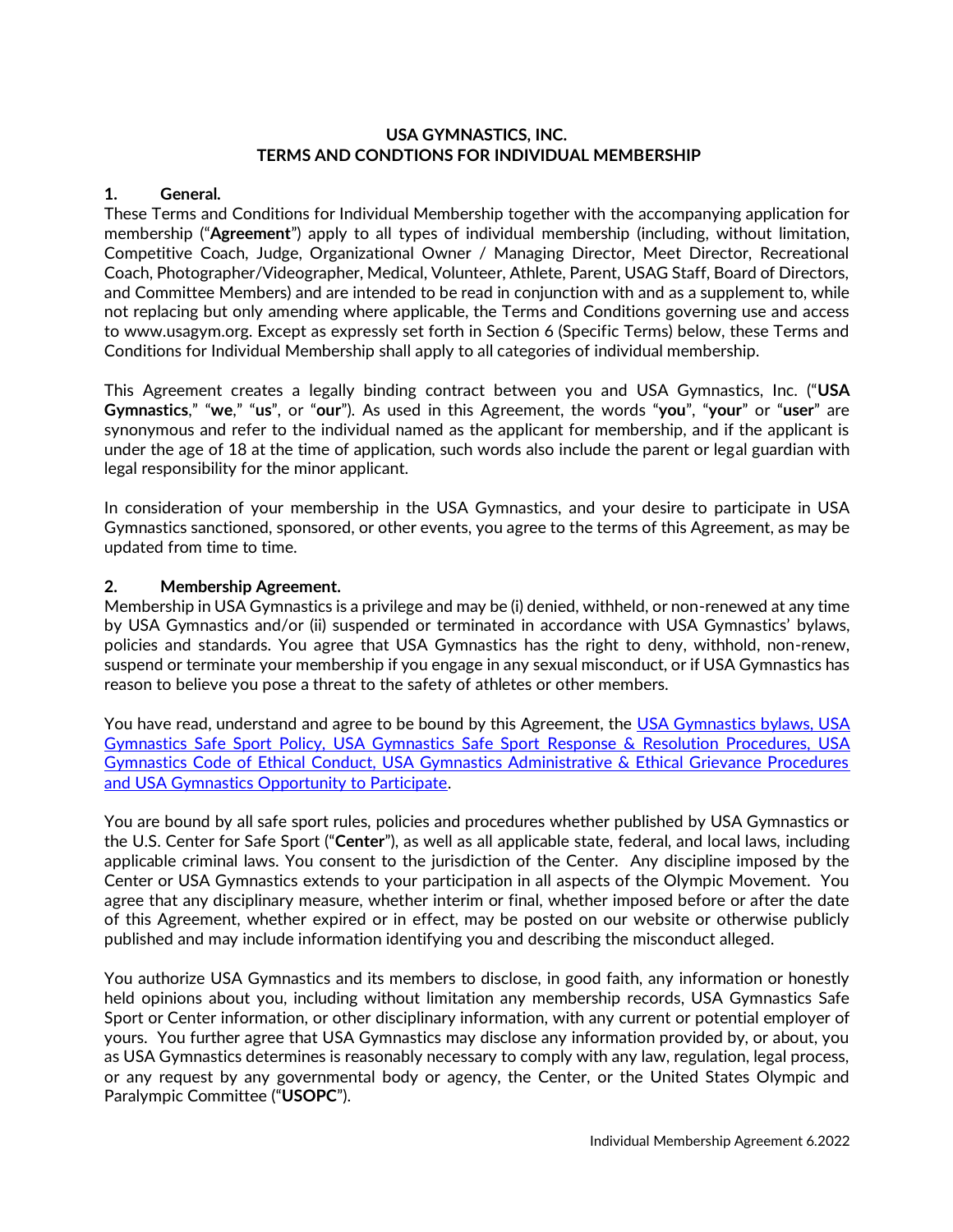## **USA GYMNASTICS, INC. TERMS AND CONDTIONS FOR INDIVIDUAL MEMBERSHIP**

## **1. General.**

These Terms and Conditions for Individual Membership together with the accompanying application for membership ("**Agreement**") apply to all types of individual membership (including, without limitation, Competitive Coach, Judge, Organizational Owner / Managing Director, Meet Director, Recreational Coach, Photographer/Videographer, Medical, Volunteer, Athlete, Parent, USAG Staff, Board of Directors, and Committee Members) and are intended to be read in conjunction with and as a supplement to, while not replacing but only amending where applicable, the Terms and Conditions governing use and access to www.usagym.org. Except as expressly set forth in Section 6 (Specific Terms) below, these Terms and Conditions for Individual Membership shall apply to all categories of individual membership.

This Agreement creates a legally binding contract between you and USA Gymnastics, Inc. ("**USA Gymnastics**," "**we**," "**us**", or "**our**"). As used in this Agreement, the words "**you**", "**your**" or "**user**" are synonymous and refer to the individual named as the applicant for membership, and if the applicant is under the age of 18 at the time of application, such words also include the parent or legal guardian with legal responsibility for the minor applicant.

In consideration of your membership in the USA Gymnastics, and your desire to participate in USA Gymnastics sanctioned, sponsored, or other events, you agree to the terms of this Agreement, as may be updated from time to time.

## **2. Membership Agreement.**

Membership in USA Gymnastics is a privilege and may be (i) denied, withheld, or non-renewed at any time by USA Gymnastics and/or (ii) suspended or terminated in accordance with USA Gymnastics' bylaws, policies and standards. You agree that USA Gymnastics has the right to deny, withhold, non-renew, suspend or terminate your membership if you engage in any sexual misconduct, or if USA Gymnastics has reason to believe you pose a threat to the safety of athletes or other members.

You have read, understand and agree to be bound by this Agreement, the USA Gymnastics bylaws, USA [Gymnastics Safe Sport Policy, USA Gymnastics Safe Sport](https://usagym.org/pages/aboutus/pages/governance.html) Response & Resolution Procedures, USA [Gymnastics Code of Ethical Conduct, USA Gymnastics Administrative & Ethical Grievance Procedures](https://usagym.org/pages/aboutus/pages/governance.html)  [and USA Gymnastics Opportunity to Participate.](https://usagym.org/pages/aboutus/pages/governance.html)

You are bound by all safe sport rules, policies and procedures whether published by USA Gymnastics or the U.S. Center for Safe Sport ("**Center**"), as well as all applicable state, federal, and local laws, including applicable criminal laws. You consent to the jurisdiction of the Center. Any discipline imposed by the Center or USA Gymnastics extends to your participation in all aspects of the Olympic Movement. You agree that any disciplinary measure, whether interim or final, whether imposed before or after the date of this Agreement, whether expired or in effect, may be posted on our website or otherwise publicly published and may include information identifying you and describing the misconduct alleged.

You authorize USA Gymnastics and its members to disclose, in good faith, any information or honestly held opinions about you, including without limitation any membership records, USA Gymnastics Safe Sport or Center information, or other disciplinary information, with any current or potential employer of yours. You further agree that USA Gymnastics may disclose any information provided by, or about, you as USA Gymnastics determines is reasonably necessary to comply with any law, regulation, legal process, or any request by any governmental body or agency, the Center, or the United States Olympic and Paralympic Committee ("**USOPC**").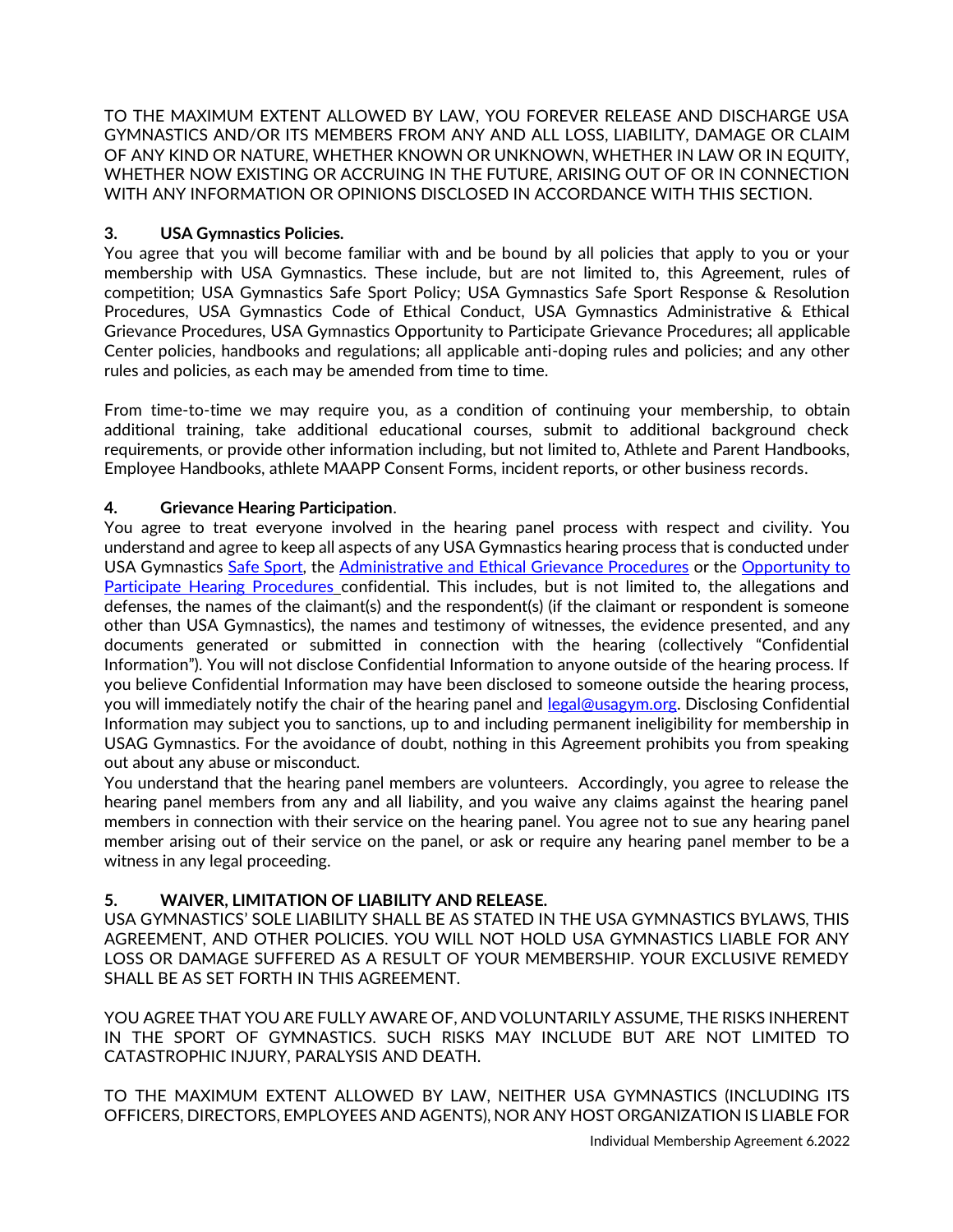TO THE MAXIMUM EXTENT ALLOWED BY LAW, YOU FOREVER RELEASE AND DISCHARGE USA GYMNASTICS AND/OR ITS MEMBERS FROM ANY AND ALL LOSS, LIABILITY, DAMAGE OR CLAIM OF ANY KIND OR NATURE, WHETHER KNOWN OR UNKNOWN, WHETHER IN LAW OR IN EQUITY, WHETHER NOW EXISTING OR ACCRUING IN THE FUTURE, ARISING OUT OF OR IN CONNECTION WITH ANY INFORMATION OR OPINIONS DISCLOSED IN ACCORDANCE WITH THIS SECTION.

# **3. USA Gymnastics Policies.**

You agree that you will become familiar with and be bound by all policies that apply to you or your membership with USA Gymnastics. These include, but are not limited to, this Agreement, rules of competition; USA Gymnastics Safe Sport Policy; USA Gymnastics Safe Sport Response & Resolution Procedures, USA Gymnastics Code of Ethical Conduct, USA Gymnastics Administrative & Ethical Grievance Procedures, USA Gymnastics Opportunity to Participate Grievance Procedures; all applicable Center policies, handbooks and regulations; all applicable anti-doping rules and policies; and any other rules and policies, as each may be amended from time to time.

From time-to-time we may require you, as a condition of continuing your membership, to obtain additional training, take additional educational courses, submit to additional background check requirements, or provide other information including, but not limited to, Athlete and Parent Handbooks, Employee Handbooks, athlete MAAPP Consent Forms, incident reports, or other business records.

## **4. Grievance Hearing Participation**.

You agree to treat everyone involved in the hearing panel process with respect and civility. You understand and agree to keep all aspects of any USA Gymnastics hearing process that is conducted under USA Gymnastics [Safe Sport,](https://usagym.org/pages/education/safesport/policy.html) th[e Administrative and Ethical Grievance Procedures](https://usagym.org/PDFs/About%20USA%20Gymnastics/Governance/admin_eth_griev.pdf) or the [Opportunity to](https://usagym.org/PDFs/About%20USA%20Gymnastics/Governance/grievance.pdf)  [Participate Hearing Procedures](https://usagym.org/PDFs/About%20USA%20Gymnastics/Governance/grievance.pdf) confidential. This includes, but is not limited to, the allegations and defenses, the names of the claimant(s) and the respondent(s) (if the claimant or respondent is someone other than USA Gymnastics), the names and testimony of witnesses, the evidence presented, and any documents generated or submitted in connection with the hearing (collectively "Confidential Information"). You will not disclose Confidential Information to anyone outside of the hearing process. If you believe Confidential Information may have been disclosed to someone outside the hearing process, you will immediately notify the chair of the hearing panel and [legal@usagym.org.](mailto:legal@usagym.org) Disclosing Confidential Information may subject you to sanctions, up to and including permanent ineligibility for membership in USAG Gymnastics. For the avoidance of doubt, nothing in this Agreement prohibits you from speaking out about any abuse or misconduct.

You understand that the hearing panel members are volunteers. Accordingly, you agree to release the hearing panel members from any and all liability, and you waive any claims against the hearing panel members in connection with their service on the hearing panel. You agree not to sue any hearing panel member arising out of their service on the panel, or ask or require any hearing panel member to be a witness in any legal proceeding.

# **5. WAIVER, LIMITATION OF LIABILITY AND RELEASE.**

USA GYMNASTICS' SOLE LIABILITY SHALL BE AS STATED IN THE USA GYMNASTICS BYLAWS, THIS AGREEMENT, AND OTHER POLICIES. YOU WILL NOT HOLD USA GYMNASTICS LIABLE FOR ANY LOSS OR DAMAGE SUFFERED AS A RESULT OF YOUR MEMBERSHIP. YOUR EXCLUSIVE REMEDY SHALL BE AS SET FORTH IN THIS AGREEMENT.

YOU AGREE THAT YOU ARE FULLY AWARE OF, AND VOLUNTARILY ASSUME, THE RISKS INHERENT IN THE SPORT OF GYMNASTICS. SUCH RISKS MAY INCLUDE BUT ARE NOT LIMITED TO CATASTROPHIC INJURY, PARALYSIS AND DEATH.

TO THE MAXIMUM EXTENT ALLOWED BY LAW, NEITHER USA GYMNASTICS (INCLUDING ITS OFFICERS, DIRECTORS, EMPLOYEES AND AGENTS), NOR ANY HOST ORGANIZATION IS LIABLE FOR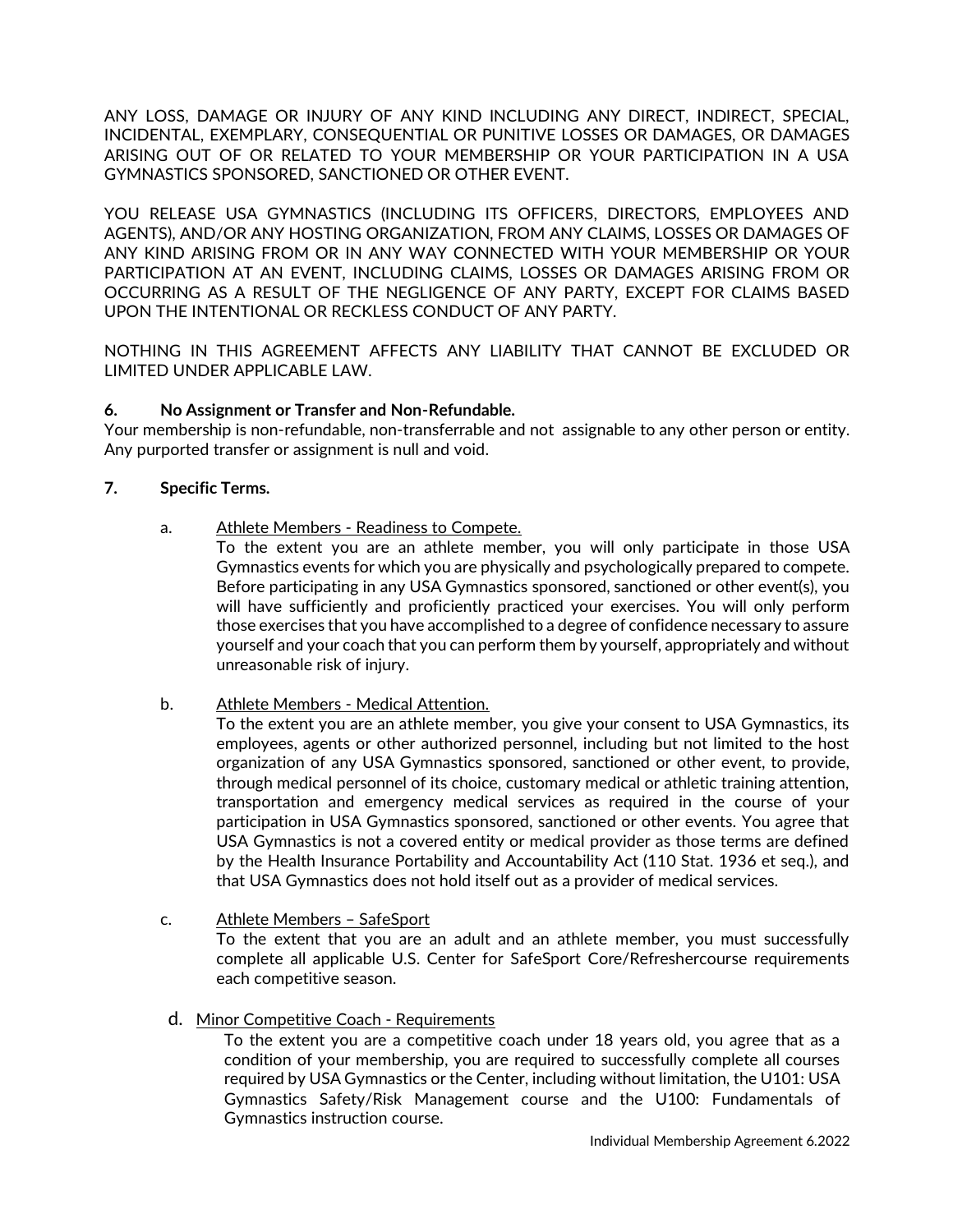ANY LOSS, DAMAGE OR INJURY OF ANY KIND INCLUDING ANY DIRECT, INDIRECT, SPECIAL, INCIDENTAL, EXEMPLARY, CONSEQUENTIAL OR PUNITIVE LOSSES OR DAMAGES, OR DAMAGES ARISING OUT OF OR RELATED TO YOUR MEMBERSHIP OR YOUR PARTICIPATION IN A USA GYMNASTICS SPONSORED, SANCTIONED OR OTHER EVENT.

YOU RELEASE USA GYMNASTICS (INCLUDING ITS OFFICERS, DIRECTORS, EMPLOYEES AND AGENTS), AND/OR ANY HOSTING ORGANIZATION, FROM ANY CLAIMS, LOSSES OR DAMAGES OF ANY KIND ARISING FROM OR IN ANY WAY CONNECTED WITH YOUR MEMBERSHIP OR YOUR PARTICIPATION AT AN EVENT, INCLUDING CLAIMS, LOSSES OR DAMAGES ARISING FROM OR OCCURRING AS A RESULT OF THE NEGLIGENCE OF ANY PARTY, EXCEPT FOR CLAIMS BASED UPON THE INTENTIONAL OR RECKLESS CONDUCT OF ANY PARTY.

NOTHING IN THIS AGREEMENT AFFECTS ANY LIABILITY THAT CANNOT BE EXCLUDED OR LIMITED UNDER APPLICABLE LAW.

# **6. No Assignment or Transfer and Non-Refundable.**

Your membership is non-refundable, non-transferrable and not assignable to any other person or entity. Any purported transfer or assignment is null and void.

## **7. Specific Terms.**

a. Athlete Members - Readiness to Compete.

To the extent you are an athlete member, you will only participate in those USA Gymnastics events for which you are physically and psychologically prepared to compete. Before participating in any USA Gymnastics sponsored, sanctioned or other event(s), you will have sufficiently and proficiently practiced your exercises. You will only perform those exercises that you have accomplished to a degree of confidence necessary to assure yourself and your coach that you can perform them by yourself, appropriately and without unreasonable risk of injury.

b. Athlete Members - Medical Attention.

To the extent you are an athlete member, you give your consent to USA Gymnastics, its employees, agents or other authorized personnel, including but not limited to the host organization of any USA Gymnastics sponsored, sanctioned or other event, to provide, through medical personnel of its choice, customary medical or athletic training attention, transportation and emergency medical services as required in the course of your participation in USA Gymnastics sponsored, sanctioned or other events. You agree that USA Gymnastics is not a covered entity or medical provider as those terms are defined by the Health Insurance Portability and Accountability Act (110 Stat. 1936 et seq.), and that USA Gymnastics does not hold itself out as a provider of medical services.

- c. Athlete Members SafeSport To the extent that you are an adult and an athlete member, you must successfully complete all applicable U.S. Center for SafeSport Core/Refreshercourse requirements each competitive season.
- d. Minor Competitive Coach Requirements

To the extent you are a competitive coach under 18 years old, you agree that as a condition of your membership, you are required to successfully complete all courses required by USA Gymnastics or the Center, including without limitation, the U101: USA Gymnastics Safety/Risk Management course and the U100: Fundamentals of Gymnastics instruction course.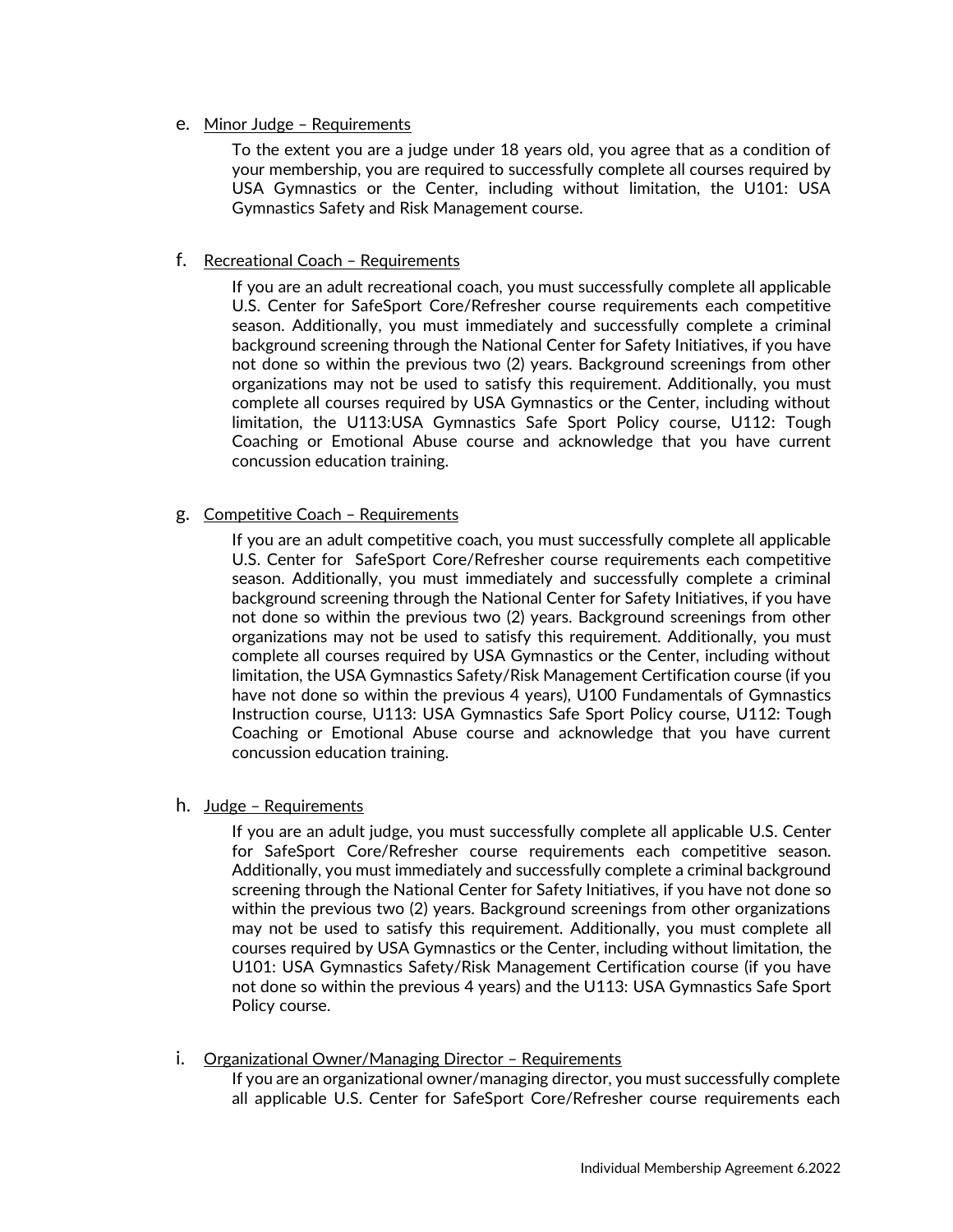e. Minor Judge – Requirements

To the extent you are a judge under 18 years old, you agree that as a condition of your membership, you are required to successfully complete all courses required by USA Gymnastics or the Center, including without limitation, the U101: USA Gymnastics Safety and Risk Management course.

#### f. Recreational Coach – Requirements

If you are an adult recreational coach, you must successfully complete all applicable U.S. Center for SafeSport Core/Refresher course requirements each competitive season. Additionally, you must immediately and successfully complete a criminal background screening through the National Center for Safety Initiatives, if you have not done so within the previous two (2) years. Background screenings from other organizations may not be used to satisfy this requirement. Additionally, you must complete all courses required by USA Gymnastics or the Center, including without limitation, the U113:USA Gymnastics Safe Sport Policy course, U112: Tough Coaching or Emotional Abuse course and acknowledge that you have current concussion education training.

#### g. Competitive Coach – Requirements

If you are an adult competitive coach, you must successfully complete all applicable U.S. Center for SafeSport Core/Refresher course requirements each competitive season. Additionally, you must immediately and successfully complete a criminal background screening through the National Center for Safety Initiatives, if you have not done so within the previous two (2) years. Background screenings from other organizations may not be used to satisfy this requirement. Additionally, you must complete all courses required by USA Gymnastics or the Center, including without limitation, the USA Gymnastics Safety/Risk Management Certification course (if you have not done so within the previous 4 years), U100 Fundamentals of Gymnastics Instruction course, U113: USA Gymnastics Safe Sport Policy course, U112: Tough Coaching or Emotional Abuse course and acknowledge that you have current concussion education training.

#### h. Judge – Requirements

If you are an adult judge, you must successfully complete all applicable U.S. Center for SafeSport Core/Refresher course requirements each competitive season. Additionally, you must immediately and successfully complete a criminal background screening through the National Center for Safety Initiatives, if you have not done so within the previous two (2) years. Background screenings from other organizations may not be used to satisfy this requirement. Additionally, you must complete all courses required by USA Gymnastics or the Center, including without limitation, the U101: USA Gymnastics Safety/Risk Management Certification course (if you have not done so within the previous 4 years) and the U113: USA Gymnastics Safe Sport Policy course.

i. Organizational Owner/Managing Director - Requirements

If you are an organizational owner/managing director, you must successfully complete all applicable U.S. Center for SafeSport Core/Refresher course requirements each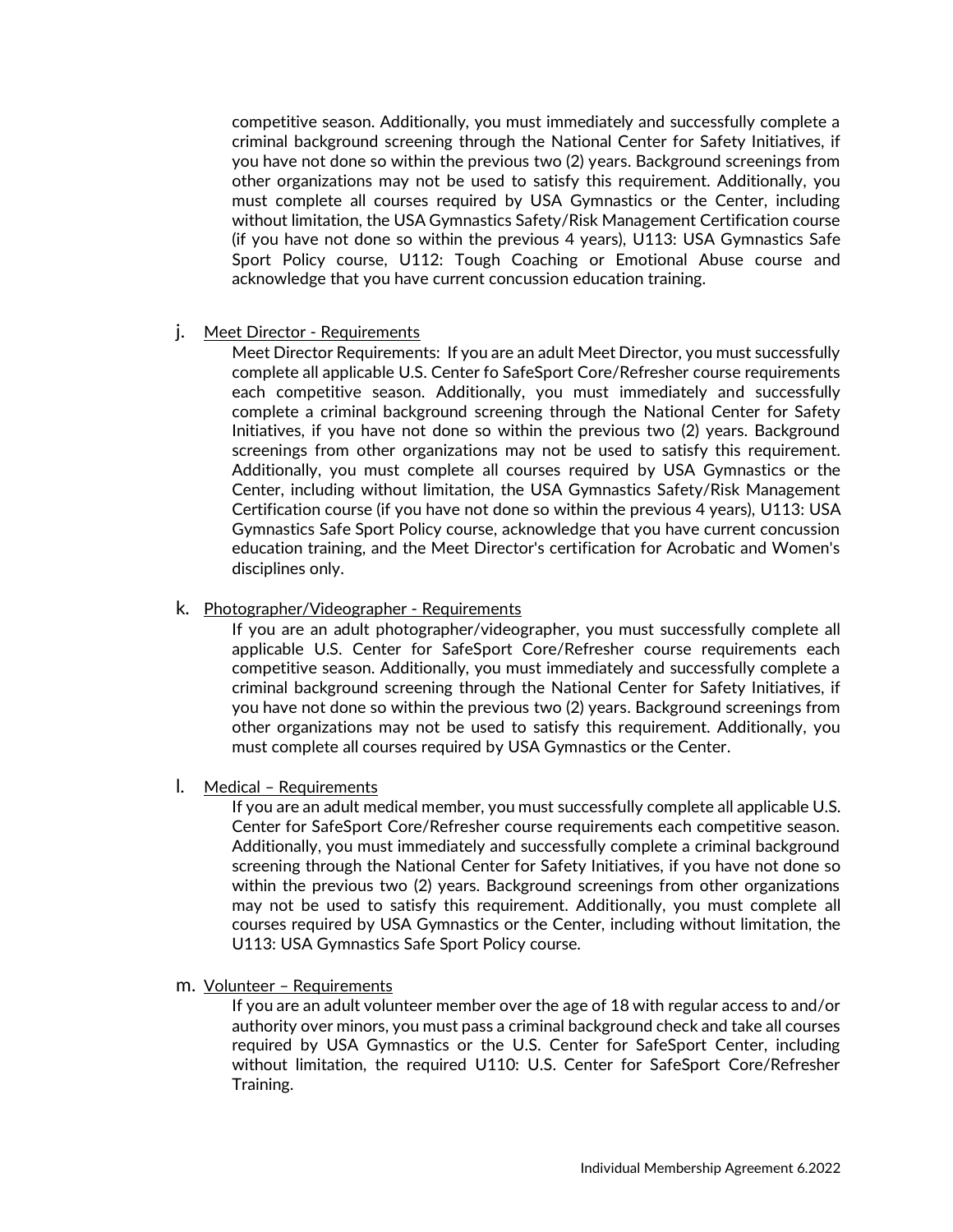competitive season. Additionally, you must immediately and successfully complete a criminal background screening through the National Center for Safety Initiatives, if you have not done so within the previous two (2) years. Background screenings from other organizations may not be used to satisfy this requirement. Additionally, you must complete all courses required by USA Gymnastics or the Center, including without limitation, the USA Gymnastics Safety/Risk Management Certification course (if you have not done so within the previous 4 years), U113: USA Gymnastics Safe Sport Policy course, U112: Tough Coaching or Emotional Abuse course and acknowledge that you have current concussion education training.

j. Meet Director - Requirements

Meet Director Requirements: If you are an adult Meet Director, you must successfully complete all applicable U.S. Center fo SafeSport Core/Refresher course requirements each competitive season. Additionally, you must immediately and successfully complete a criminal background screening through the National Center for Safety Initiatives, if you have not done so within the previous two (2) years. Background screenings from other organizations may not be used to satisfy this requirement. Additionally, you must complete all courses required by USA Gymnastics or the Center, including without limitation, the USA Gymnastics Safety/Risk Management Certification course (if you have not done so within the previous 4 years), U113: USA Gymnastics Safe Sport Policy course, acknowledge that you have current concussion education training, and the Meet Director's certification for Acrobatic and Women's disciplines only.

k. Photographer/Videographer - Requirements

If you are an adult photographer/videographer, you must successfully complete all applicable U.S. Center for SafeSport Core/Refresher course requirements each competitive season. Additionally, you must immediately and successfully complete a criminal background screening through the National Center for Safety Initiatives, if you have not done so within the previous two (2) years. Background screenings from other organizations may not be used to satisfy this requirement. Additionally, you must complete all courses required by USA Gymnastics or the Center.

l. Medical – Requirements

If you are an adult medical member, you must successfully complete all applicable U.S. Center for SafeSport Core/Refresher course requirements each competitive season. Additionally, you must immediately and successfully complete a criminal background screening through the National Center for Safety Initiatives, if you have not done so within the previous two (2) years. Background screenings from other organizations may not be used to satisfy this requirement. Additionally, you must complete all courses required by USA Gymnastics or the Center, including without limitation, the U113: USA Gymnastics Safe Sport Policy course.

m. Volunteer – Requirements

If you are an adult volunteer member over the age of 18 with regular access to and/or authority over minors, you must pass a criminal background check and take all courses required by USA Gymnastics or the U.S. Center for SafeSport Center, including without limitation, the required U110: U.S. Center for SafeSport Core/Refresher Training.